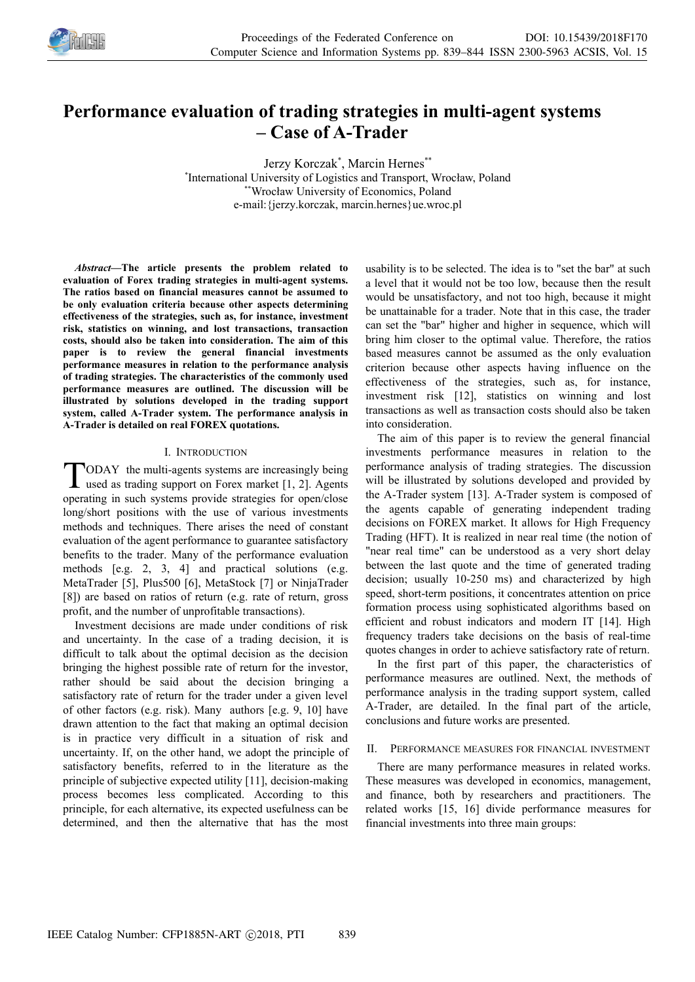

# **Performance evaluation of trading strategies in multi-agent systems – Case of A-Trader**

Jerzy Korczak\*, Marcin Hernes\*\* \* International University of Logistics and Transport, Wrocław, Poland \*\*Wrocław University of Economics, Poland e-mail:{jerzy.korczak, marcin.hernes}ue.wroc.pl

*Abstract—***The article presents the problem related to evaluation of Forex trading strategies in multi-agent systems. The ratios based on financial measures cannot be assumed to be only evaluation criteria because other aspects determining effectiveness of the strategies, such as, for instance, investment risk, statistics on winning, and lost transactions, transaction costs, should also be taken into consideration. The aim of this paper is to review the general financial investments performance measures in relation to the performance analysis of trading strategies. The characteristics of the commonly used performance measures are outlined. The discussion will be illustrated by solutions developed in the trading support system, called A-Trader system. The performance analysis in A-Trader is detailed on real FOREX quotations.**

### I. INTRODUCTION

ODAY the multi-agents systems are increasingly being used as trading support on Forex market [1, 2]. Agents TODAY the multi-agents systems are increasingly being<br>used as trading support on Forex market [1, 2]. Agents<br>operating in such systems provide strategies for open/close long/short positions with the use of various investments methods and techniques. There arises the need of constant evaluation of the agent performance to guarantee satisfactory benefits to the trader. Many of the performance evaluation methods [e.g. 2, 3, 4] and practical solutions (e.g. MetaTrader [5], Plus500 [6], MetaStock [7] or NinjaTrader [8]) are based on ratios of return (e.g. rate of return, gross profit, and the number of unprofitable transactions).

Investment decisions are made under conditions of risk and uncertainty. In the case of a trading decision, it is difficult to talk about the optimal decision as the decision bringing the highest possible rate of return for the investor, rather should be said about the decision bringing a satisfactory rate of return for the trader under a given level of other factors (e.g. risk). Many authors [e.g. 9, 10] have drawn attention to the fact that making an optimal decision is in practice very difficult in a situation of risk and uncertainty. If, on the other hand, we adopt the principle of satisfactory benefits, referred to in the literature as the principle of subjective expected utility [11], decision-making process becomes less complicated. According to this principle, for each alternative, its expected usefulness can be determined, and then the alternative that has the most

usability is to be selected. The idea is to "set the bar" at such a level that it would not be too low, because then the result would be unsatisfactory, and not too high, because it might be unattainable for a trader. Note that in this case, the trader can set the "bar" higher and higher in sequence, which will bring him closer to the optimal value. Therefore, the ratios based measures cannot be assumed as the only evaluation criterion because other aspects having influence on the effectiveness of the strategies, such as, for instance, investment risk [12], statistics on winning and lost transactions as well as transaction costs should also be taken into consideration.

The aim of this paper is to review the general financial investments performance measures in relation to the performance analysis of trading strategies. The discussion will be illustrated by solutions developed and provided by the A-Trader system [13]. A-Trader system is composed of the agents capable of generating independent trading decisions on FOREX market. It allows for High Frequency Trading (HFT). It is realized in near real time (the notion of "near real time" can be understood as a very short delay between the last quote and the time of generated trading decision; usually 10-250 ms) and characterized by high speed, short-term positions, it concentrates attention on price formation process using sophisticated algorithms based on efficient and robust indicators and modern IT [14]. High frequency traders take decisions on the basis of real-time quotes changes in order to achieve satisfactory rate of return.

In the first part of this paper, the characteristics of performance measures are outlined. Next, the methods of performance analysis in the trading support system, called A-Trader, are detailed. In the final part of the article, conclusions and future works are presented.

# II. PERFORMANCE MEASURES FOR FINANCIAL INVESTMENT

There are many performance measures in related works. These measures was developed in economics, management, and finance, both by researchers and practitioners. The related works [15, 16] divide performance measures for financial investments into three main groups: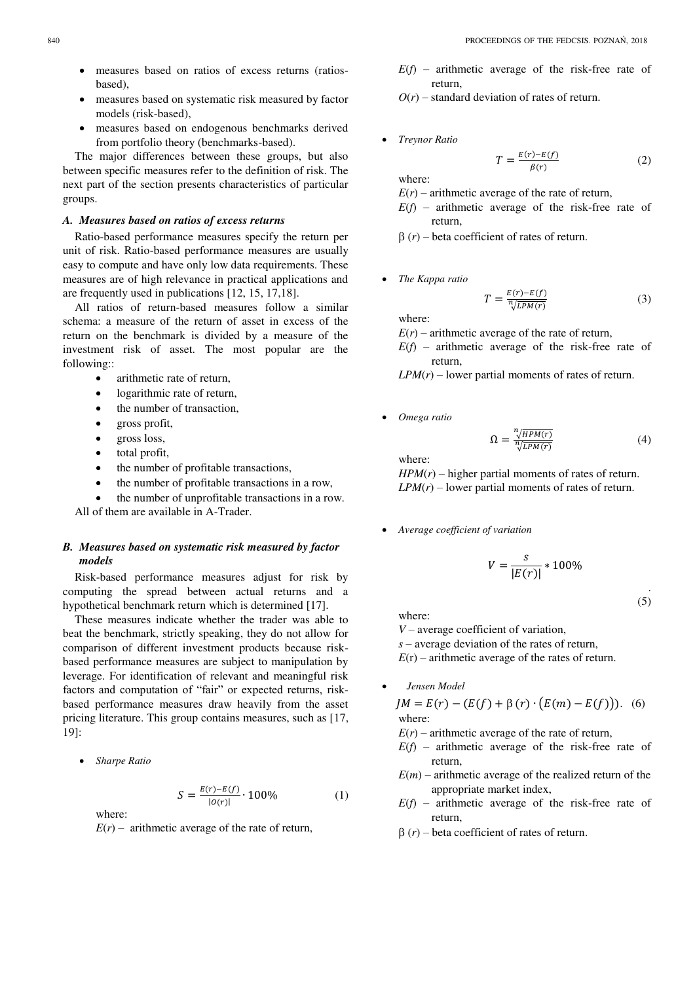- measures based on ratios of excess returns (ratiosbased),
- measures based on systematic risk measured by factor models (risk-based),
- measures based on endogenous benchmarks derived from portfolio theory (benchmarks-based).

The major differences between these groups, but also between specific measures refer to the definition of risk. The next part of the section presents characteristics of particular groups.

# *A. Measures based on ratios of excess returns*

Ratio-based performance measures specify the return per unit of risk. Ratio-based performance measures are usually easy to compute and have only low data requirements. These measures are of high relevance in practical applications and are frequently used in publications [12, 15, 17,18].

All ratios of return-based measures follow a similar schema: a measure of the return of asset in excess of the return on the benchmark is divided by a measure of the investment risk of asset. The most popular are the following::

- arithmetic rate of return,
- logarithmic rate of return,
- the number of transaction,
- gross profit,
- gross loss,
- total profit,
- the number of profitable transactions,
- the number of profitable transactions in a row,
- the number of unprofitable transactions in a row.

All of them are available in A-Trader.

# *B. Measures based on systematic risk measured by factor models*

Risk-based performance measures adjust for risk by computing the spread between actual returns and a hypothetical benchmark return which is determined [17].

These measures indicate whether the trader was able to beat the benchmark, strictly speaking, they do not allow for comparison of different investment products because riskbased performance measures are subject to manipulation by leverage. For identification of relevant and meaningful risk factors and computation of "fair" or expected returns, riskbased performance measures draw heavily from the asset pricing literature. This group contains measures, such as [17, 19]:

*Sharpe Ratio* 

$$
S = \frac{E(r) - E(f)}{|o(r)|} \cdot 100\%
$$
 (1)

where:

 $E(r)$  – arithmetic average of the rate of return,

- *E*(*f*) arithmetic average of the risk-free rate of return,
- $O(r)$  standard deviation of rates of return.
- *Treynor Ratio*

$$
T = \frac{E(r) - E(f)}{\beta(r)}\tag{2}
$$

where:

- $E(r)$  arithmetic average of the rate of return,
- $E(f)$  arithmetic average of the risk-free rate of return,

 $\beta(r)$  – beta coefficient of rates of return.

*The Kappa ratio* 

$$
T = \frac{E(r) - E(f)}{\sqrt{LPM(r)}}\tag{3}
$$

where:

 $E(r)$  – arithmetic average of the rate of return,

 $E(f)$  – arithmetic average of the risk-free rate of return,

 $LPM(r)$  – lower partial moments of rates of return.

*Omega ratio* 

$$
\Omega = \frac{\sqrt[n]{HPM(r)}}{\sqrt[n]{LPM(r)}}\tag{4}
$$

where:

 $HPM(r)$  – higher partial moments of rates of return.  $LPM(r)$  – lower partial moments of rates of return.

*Average coefficient of variation* 

$$
V = \frac{s}{|E(r)|} * 100\%
$$

. (5)

where:

*V* – average coefficient of variation,

*s* – average deviation of the rates of return,

 $E(r)$  – arithmetic average of the rates of return.

*Jensen Model* 

$$
JM = E(r) - (E(f) + \beta(r) \cdot (E(m) - E(f))).
$$
 (6) where:

- $E(r)$  arithmetic average of the rate of return,
- $E(f)$  arithmetic average of the risk-free rate of return,
- $E(m)$  arithmetic average of the realized return of the appropriate market index,
- $E(f)$  arithmetic average of the risk-free rate of return,
- $\beta(r)$  beta coefficient of rates of return.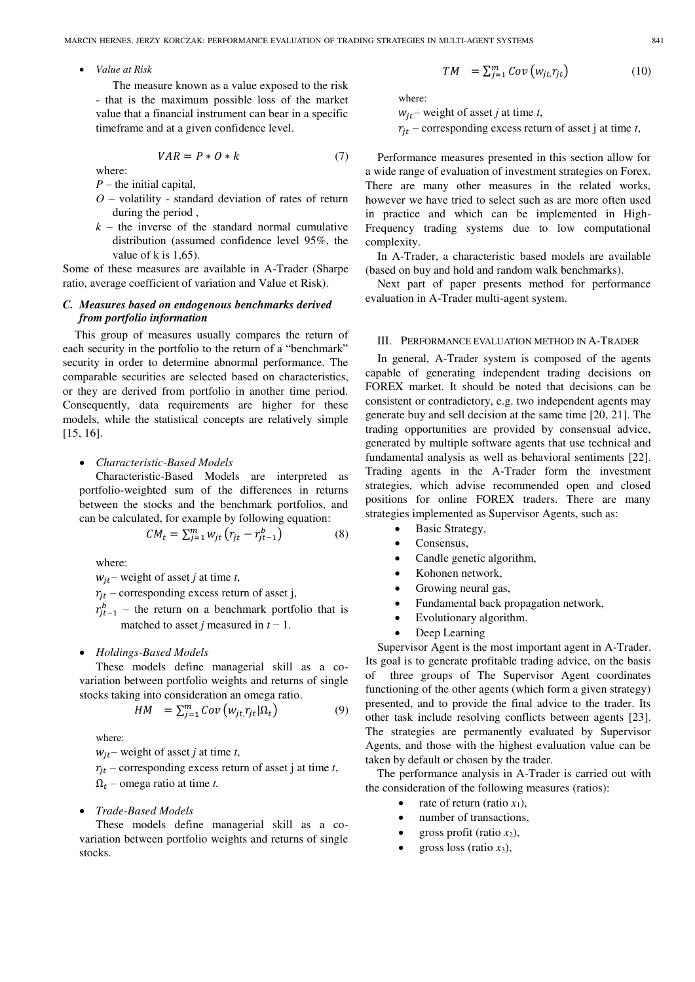*Value at Risk* 

The measure known as a value exposed to the risk - that is the maximum possible loss of the market value that a financial instrument can bear in a specific timeframe and at a given confidence level.

$$
VAR = P * O * k \tag{7}
$$

where:

- *P* the initial capital,
- *O* volatility standard deviation of rates of return during the period ,
- $k -$  the inverse of the standard normal cumulative distribution (assumed confidence level 95%, the value of k is  $1.65$ ).

Some of these measures are available in A-Trader (Sharpe ratio, average coefficient of variation and Value et Risk).

# *C. Measures based on endogenous benchmarks derived from portfolio information*

This group of measures usually compares the return of each security in the portfolio to the return of a "benchmark" security in order to determine abnormal performance. The comparable securities are selected based on characteristics, or they are derived from portfolio in another time period. Consequently, data requirements are higher for these models, while the statistical concepts are relatively simple [15, 16].

#### *Characteristic-Based Models*

Characteristic-Based Models are interpreted as portfolio-weighted sum of the differences in returns between the stocks and the benchmark portfolios, and can be calculated, for example by following equation:

$$
CM_t = \sum_{j=1}^{m} w_{jt} (r_{jt} - r_{jt-1}^b)
$$
 (8)

where:

 $w_{it}$  – weight of asset *j* at time *t*,

 $r_{it}$  – corresponding excess return of asset j,

 $r_{j}^{b}$  – the return on a benchmark portfolio that is matched to asset *j* measured in  $t - 1$ .

#### *Holdings-Based Models*

These models define managerial skill as a covariation between portfolio weights and returns of single stocks taking into consideration an omega ratio.

$$
HM = \sum_{j=1}^{m} Cov(w_{jt,}r_{jt}|\Omega_t)
$$
 (9)

where:

 $w_{it}$  – weight of asset *j* at time *t*,

 $r_{it}$  – corresponding excess return of asset j at time *t*,  $\Omega_t$  – omega ratio at time *t*.

# *Trade-Based Models*

These models define managerial skill as a covariation between portfolio weights and returns of single stocks.

$$
TM = \sum_{j=1}^{m} Cov(w_{jt}, r_{jt}) \qquad (10)
$$

where:

 $w_{it}$  – weight of asset *j* at time *t*,

 $r_{it}$  – corresponding excess return of asset j at time *t*,

Performance measures presented in this section allow for a wide range of evaluation of investment strategies on Forex. There are many other measures in the related works, however we have tried to select such as are more often used in practice and which can be implemented in High-Frequency trading systems due to low computational complexity.

In A-Trader, a characteristic based models are available (based on buy and hold and random walk benchmarks).

Next part of paper presents method for performance evaluation in A-Trader multi-agent system.

# III. PERFORMANCE EVALUATION METHOD IN A-TRADER

In general, A-Trader system is composed of the agents capable of generating independent trading decisions on FOREX market. It should be noted that decisions can be consistent or contradictory, e.g. two independent agents may generate buy and sell decision at the same time [20, 21]. The trading opportunities are provided by consensual advice, generated by multiple software agents that use technical and fundamental analysis as well as behavioral sentiments [22]. Trading agents in the A-Trader form the investment strategies, which advise recommended open and closed positions for online FOREX traders. There are many strategies implemented as Supervisor Agents, such as:

- Basic Strategy,
- Consensus,
- Candle genetic algorithm,
- Kohonen network,
- Growing neural gas,
- Fundamental back propagation network,
- Evolutionary algorithm.
- Deep Learning

Supervisor Agent is the most important agent in A-Trader. Its goal is to generate profitable trading advice, on the basis of three groups of The Supervisor Agent coordinates functioning of the other agents (which form a given strategy) presented, and to provide the final advice to the trader. Its other task include resolving conflicts between agents [23]. The strategies are permanently evaluated by Supervisor Agents, and those with the highest evaluation value can be taken by default or chosen by the trader.

The performance analysis in A-Trader is carried out with the consideration of the following measures (ratios):

- rate of return (ratio  $x_1$ ),
- number of transactions,
- gross profit (ratio  $x_2$ ),
- gross loss (ratio *x*3),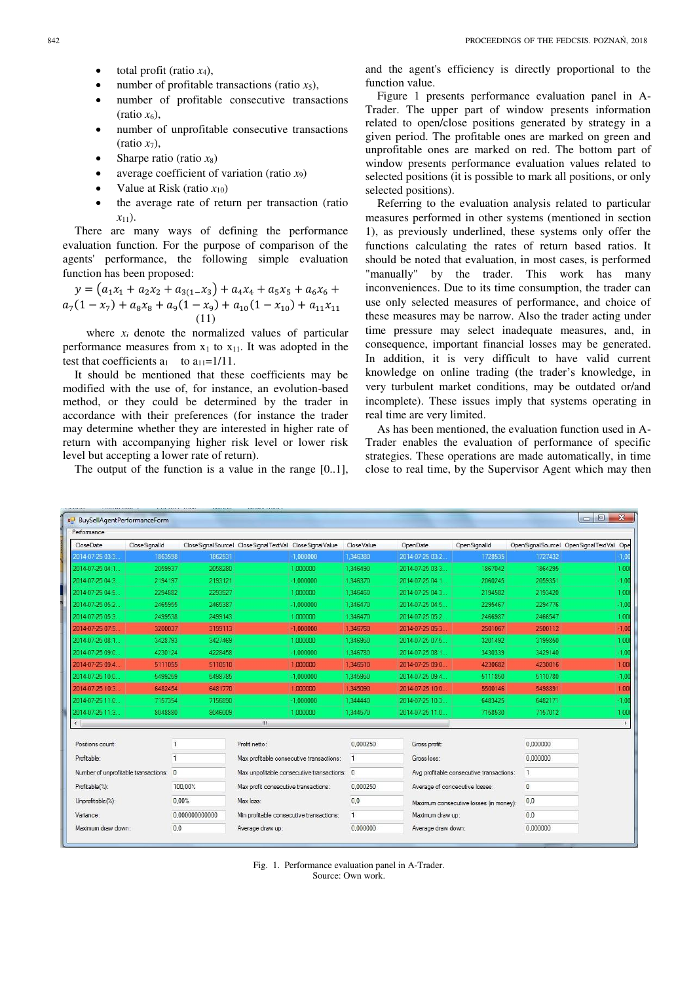- total profit (ratio *x*4),
- number of profitable transactions (ratio  $x_5$ ),
- number of profitable consecutive transactions  $(ratio x<sub>6</sub>)$ ,
- number of unprofitable consecutive transactions  $(ratio x<sub>7</sub>)$ ,
- Sharpe ratio (ratio *x*8)
- average coefficient of variation (ratio *x*9)
- Value at Risk (ratio  $x_{10}$ )
- the average rate of return per transaction (ratio *x*11).

There are many ways of defining the performance evaluation function. For the purpose of comparison of the agents' performance, the following simple evaluation function has been proposed:

$$
y = (a_1x_1 + a_2x_2 + a_{3(1-X_3)} + a_4x_4 + a_5x_5 + a_6x_6 + a_7(1-x_7) + a_8x_8 + a_9(1-x_9) + a_{10}(1-x_{10}) + a_{11}x_{11}
$$
  
(11)

where  $x_i$  denote the normalized values of particular performance measures from  $x_1$  to  $x_{11}$ . It was adopted in the test that coefficients  $a_1$  to  $a_{11}=1/11$ .

It should be mentioned that these coefficients may be modified with the use of, for instance, an evolution-based method, or they could be determined by the trader in accordance with their preferences (for instance the trader may determine whether they are interested in higher rate of return with accompanying higher risk level or lower risk level but accepting a lower rate of return).

The output of the function is a value in the range [0..1],

and the agent's efficiency is directly proportional to the function value.

Figure 1 presents performance evaluation panel in A-Trader. The upper part of window presents information related to open/close positions generated by strategy in a given period. The profitable ones are marked on green and unprofitable ones are marked on red. The bottom part of window presents performance evaluation values related to selected positions (it is possible to mark all positions, or only selected positions).

Referring to the evaluation analysis related to particular measures performed in other systems (mentioned in section 1), as previously underlined, these systems only offer the functions calculating the rates of return based ratios. It should be noted that evaluation, in most cases, is performed "manually" by the trader. This work has many inconveniences. Due to its time consumption, the trader can use only selected measures of performance, and choice of these measures may be narrow. Also the trader acting under time pressure may select inadequate measures, and, in consequence, important financial losses may be generated. In addition, it is very difficult to have valid current knowledge on online trading (the trader's knowledge, in very turbulent market conditions, may be outdated or/and incomplete). These issues imply that systems operating in real time are very limited.

As has been mentioned, the evaluation function used in A-Trader enables the evaluation of performance of specific strategies. These operations are made automatically, in time close to real time, by the Supervisor Agent which may then

| BuySellAgentPerformanceForm            |                |                |                                                        |              |                                |                  |                                          |              | $\Box$ $\Box$<br>$\mathbf{x}$           |
|----------------------------------------|----------------|----------------|--------------------------------------------------------|--------------|--------------------------------|------------------|------------------------------------------|--------------|-----------------------------------------|
| Performance                            |                |                |                                                        |              |                                |                  |                                          |              |                                         |
| CloseDate                              | Close Signalld |                | CloseSignalSourcel CloseSignalTextVal CloseSignalValue |              | Close Value                    | OpenDate         | OpenSignalId                             |              | OpenSignalSourcel OpenSignalTextVal Ope |
| 2014-07-25 03:3.                       | 1863598        | 1862531        | $-1.000000$                                            |              | 1.346380                       | 2014-07-25 03:2. | 1728535                                  | 1727432      | $-1,00$                                 |
| 2014-07-25 04:1.                       | 2059937        | 2058280        | 1.000000                                               |              | 1.346490                       | 2014-07-25 03:3. | 1867042                                  | 1864295      | 1.00                                    |
| 2014-07-25 04:3.                       | 2194197        | 2193121        | $-1.000000$                                            |              | 1.346370                       | 2014-07-25 04:1. | 2060245                                  | 2059351      | $-1.00$                                 |
| 2014-07-25 04:5.                       | 2294882        | 2293927        | 1.000000                                               |              | 1.346460                       | 2014-07-25 04:3. | 2194582                                  | 2193420      | 1,00                                    |
| 2014-07-25 05:2                        | 2465955        | 2465387        | $-1.000000$                                            |              | 1.346470                       | 2014-07-25 04:5  | 2295467                                  | 2294776      | $-1,00$                                 |
| 2014-07-25 05:3.                       | 2499538        | 2499143        | 1.000000                                               |              | 1,346470                       | 2014-07-25 05:2. | 2466987                                  | 2466547      | 1,00                                    |
| 2014-07-25 07:5.                       | 3200037        | 3199113        | $-1,000000$                                            |              | 1,346760                       | 2014-07-25 05:3. | 2501067                                  | 2500112      | $-1.00$                                 |
| 2014-07-25 08:1                        | 3428793        | 3427469        | 1.000000                                               |              | 1.346950                       | 2014-07-25 07:5  | 3201492                                  | 3199850      | 1,00                                    |
| 2014-07-25 09:0.                       | 4230124        | 4228458        | $-1.000000$                                            |              | 1.346780                       | 2014-07-25 08:1. | 3430339                                  | 3429140      | $-1.00$                                 |
| 2014-07-25 09:4.                       | 5111055        | 5110510        | 1,000000                                               |              | 1,346510                       | 2014-07-25 09:0. | 4230682                                  | 4230016      | 1,00                                    |
| 2014-07-25 10:0.                       | 5499259        | 5498785        | $-1,000000$                                            |              | 1,345950                       | 2014-07-25 09:4. | 5111850                                  | 5110780      | $-1.00$                                 |
| 2014-07-25 10:3.                       | 6482454        | 6481770        | 1.000000                                               |              | 1.345090                       | 2014-07-25 10:0. | 5500146                                  | 5498891      | 1.00                                    |
| 2014-07-25 11:0.                       | 7157354        | 7156890        | $-1,000000$                                            |              | 1,344440                       | 2014-07-25 10:3. | 6483425                                  | 6482171      | $-1.00$                                 |
| 2014-07-25 11:3.                       | 8048880        | 8046009        | 1.000000                                               |              | 1.344570                       | 2014-07-25 11:0. | 7158530                                  | 7157012      | 1.00                                    |
| $\leftarrow$                           |                |                | Ш                                                      |              |                                |                  |                                          |              |                                         |
| Positions count:                       |                | $\mathbf{1}$   | Profit netto:                                          |              | 0.000250                       | Gross profit:    |                                          | 0,000000     |                                         |
| Profitable:                            |                | 1              | Max profitable consecutive transactions:               | $\mathbf{1}$ | Gross loss:                    |                  |                                          | 0.000000     |                                         |
| Number of unprofitable transactions: 0 |                |                | Max unpofitable consecutive transactions: 0            |              |                                |                  | Avg profitable consecutive transactions: | $\mathbf{1}$ |                                         |
| Profitable(%):                         |                | 100.00%        | Max profit consecutive transactions:                   |              | 0.000250                       |                  | Average of concecutive losses:           | 0            |                                         |
| Unprofitable(%):                       |                | 0.00%          | Max loss:                                              |              | 0,0                            |                  | Maximum consecutive losses (in money):   |              |                                         |
| Variance:                              |                | 0.000000000000 | Min profitable consecutive transactions:               | $\mathbf{1}$ |                                |                  | Maximum draw up:                         |              |                                         |
| Maximum draw down:                     |                | 0.0            | Average draw up:                                       |              | 0.000000<br>Average draw down: |                  |                                          | 0.000000     |                                         |

Fig. 1. Performance evaluation panel in A-Trader. Source: Own work.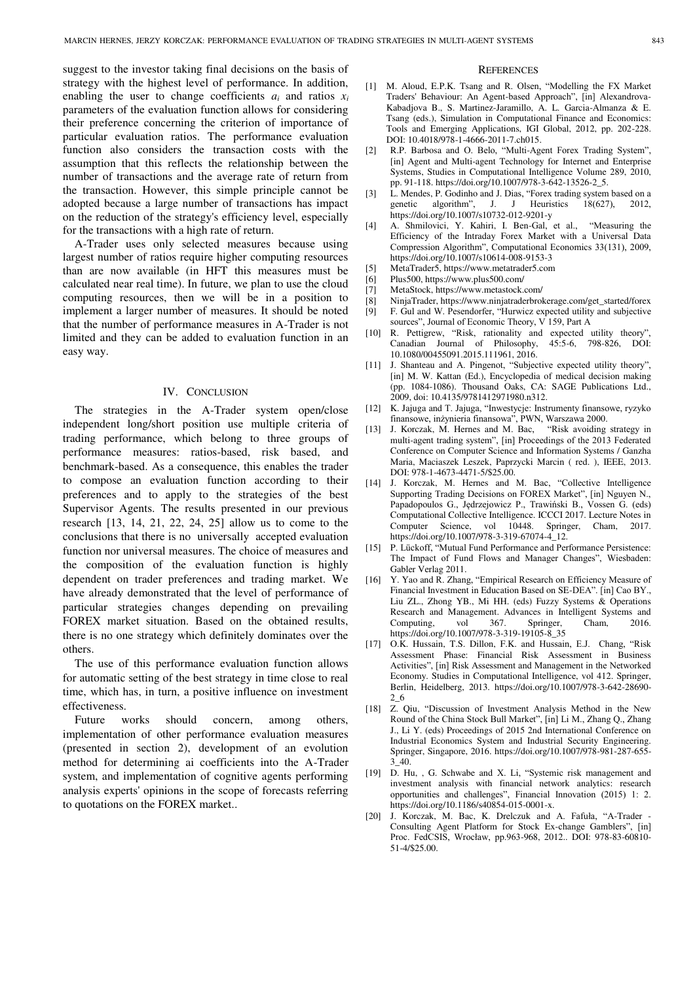suggest to the investor taking final decisions on the basis of strategy with the highest level of performance. In addition, enabling the user to change coefficients  $a_i$  and ratios  $x_i$ parameters of the evaluation function allows for considering their preference concerning the criterion of importance of particular evaluation ratios. The performance evaluation function also considers the transaction costs with the assumption that this reflects the relationship between the number of transactions and the average rate of return from the transaction. However, this simple principle cannot be adopted because a large number of transactions has impact on the reduction of the strategy's efficiency level, especially for the transactions with a high rate of return.

A-Trader uses only selected measures because using largest number of ratios require higher computing resources than are now available (in HFT this measures must be calculated near real time). In future, we plan to use the cloud computing resources, then we will be in a position to implement a larger number of measures. It should be noted that the number of performance measures in A-Trader is not limited and they can be added to evaluation function in an easy way.

# IV. CONCLUSION

The strategies in the A-Trader system open/close independent long/short position use multiple criteria of trading performance, which belong to three groups of performance measures: ratios-based, risk based, and benchmark-based. As a consequence, this enables the trader to compose an evaluation function according to their preferences and to apply to the strategies of the best Supervisor Agents. The results presented in our previous research [13, 14, 21, 22, 24, 25] allow us to come to the conclusions that there is no universally accepted evaluation function nor universal measures. The choice of measures and the composition of the evaluation function is highly dependent on trader preferences and trading market. We have already demonstrated that the level of performance of particular strategies changes depending on prevailing FOREX market situation. Based on the obtained results, there is no one strategy which definitely dominates over the others.

The use of this performance evaluation function allows for automatic setting of the best strategy in time close to real time, which has, in turn, a positive influence on investment effectiveness.

Future works should concern, among others, implementation of other performance evaluation measures (presented in section 2), development of an evolution method for determining ai coefficients into the A-Trader system, and implementation of cognitive agents performing analysis experts' opinions in the scope of forecasts referring to quotations on the FOREX market..

#### **REFERENCES**

- [1] M. Aloud, E.P.K. Tsang and R. Olsen, "Modelling the FX Market Traders' Behaviour: An Agent-based Approach", [in] Alexandrova-Kabadjova B., S. Martinez-Jaramillo, A. L. Garcia-Almanza & E. Tsang (eds.), Simulation in Computational Finance and Economics: Tools and Emerging Applications, IGI Global, 2012, pp. 202-228. DOI: 10.4018/978-1-4666-2011-7.ch015.
- [2] R.P. Barbosa and O. Belo, "Multi-Agent Forex Trading System". [in] Agent and Multi-agent Technology for Internet and Enterprise Systems, Studies in Computational Intelligence Volume 289, 2010, pp. 91-118. https://doi.org/10.1007/978-3-642-13526-2\_5.
- [3] L. Mendes, P. Godinho and J. Dias, "Forex trading system based on a genetic algorithm", J. J Heuristics 18(627), 2012, J. J. Heuristics 18(627), 2012, https://doi.org/10.1007/s10732-012-9201-y
- [4] A. Shmilovici, Y. Kahiri, I. Ben-Gal, et al., "Measuring the Efficiency of the Intraday Forex Market with a Universal Data Compression Algorithm", Computational Economics 33(131), 2009, https://doi.org/10.1007/s10614-008-9153-3
- [5] MetaTrader5, https://www.metatrader5.com
- [6] Plus500, https://www.plus500.com/
- [7] MetaStock, https://www.metastock.com/
- [8] NinjaTrader, https://www.ninjatraderbrokerage.com/get\_started/forex
- [9] F. Gul and W. Pesendorfer, "Hurwicz expected utility and subjective sources", Journal of Economic Theory, V 159, Part A
- [10] R. Pettigrew, "Risk, rationality and expected utility theory", Canadian Journal of Philosophy, 45:5-6, 798-826, DOI: 10.1080/00455091.2015.111961, 2016.
- [11] J. Shanteau and A. Pingenot, "Subjective expected utility theory", [in] M. W. Kattan (Ed.), Encyclopedia of medical decision making (pp. 1084-1086). Thousand Oaks, CA: SAGE Publications Ltd., 2009, doi: 10.4135/9781412971980.n312.
- [12] K. Jajuga and T. Jajuga, "Inwestycje: Instrumenty finansowe, ryzyko finansowe, inżynieria finansowa", PWN, Warszawa 2000.
- [13] J. Korczak, M. Hernes and M. Bac, "Risk avoiding strategy in multi-agent trading system", [in] Proceedings of the 2013 Federated Conference on Computer Science and Information Systems / Ganzha Maria, Maciaszek Leszek, Paprzycki Marcin ( red. ), IEEE, 2013. DOI: 978-1-4673-4471-5/\$25.00.
- [14] J. Korczak, M. Hernes and M. Bac, "Collective Intelligence Supporting Trading Decisions on FOREX Market", [in] Nguyen N., Papadopoulos G., Jędrzejowicz P., Trawiński B., Vossen G. (eds) Computational Collective Intelligence. ICCCI 2017. Lecture Notes in Computer Science, vol 10448. Springer, Cham, 2017. https://doi.org/10.1007/978-3-319-67074-4\_12.
- [15] P. Lückoff, "Mutual Fund Performance and Performance Persistence: The Impact of Fund Flows and Manager Changes", Wiesbaden: Gabler Verlag 2011.
- [16] Y. Yao and R. Zhang, "Empirical Research on Efficiency Measure of Financial Investment in Education Based on SE-DEA". [in] Cao BY., Liu ZL., Zhong YB., Mi HH. (eds) Fuzzy Systems & Operations Research and Management. Advances in Intelligent Systems and Computing, vol 367. Springer, Cham, 2016. https://doi.org/10.1007/978-3-319-19105-8\_35
- [17] O.K. Hussain, T.S. Dillon, F.K. and Hussain, E.J. Chang, "Risk Assessment Phase: Financial Risk Assessment in Business Activities", [in] Risk Assessment and Management in the Networked Economy. Studies in Computational Intelligence, vol 412. Springer, Berlin, Heidelberg, 2013. https://doi.org/10.1007/978-3-642-28690- 2\_6
- [18] Z. Qiu, "Discussion of Investment Analysis Method in the New Round of the China Stock Bull Market", [in] Li M., Zhang Q., Zhang J., Li Y. (eds) Proceedings of 2015 2nd International Conference on Industrial Economics System and Industrial Security Engineering. Springer, Singapore, 2016. https://doi.org/10.1007/978-981-287-655- 3\_40.
- [19] D. Hu, , G. Schwabe and X. Li, "Systemic risk management and investment analysis with financial network analytics: research opportunities and challenges", Financial Innovation (2015) 1: 2. https://doi.org/10.1186/s40854-015-0001-x.
- [20] J. Korczak, M. Bac, K. Drelczuk and A. Fafuła, "A-Trader Consulting Agent Platform for Stock Ex-change Gamblers", [in] Proc. FedCSIS, Wrocław, pp.963-968, 2012.. DOI: 978-83-60810- 51-4/\$25.00.